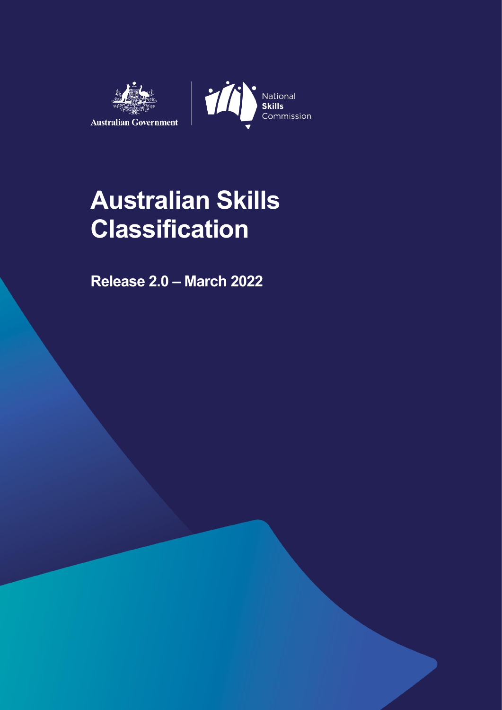



# **Australian Skills Classification**

**Release 2.0 – March 2022**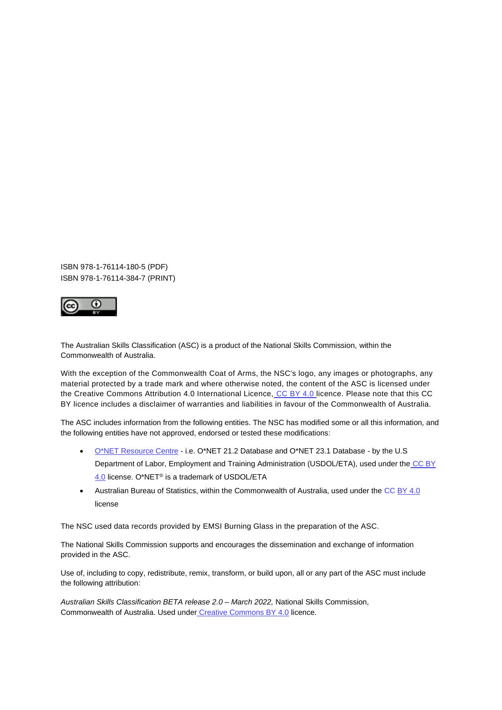ISBN 978-1-76114-180-5 (PDF) ISBN 978-1-76114-384-7 (PRINT)



The Australian Skills Classification (ASC) is a product of the National Skills Commission, within the Commonwealth of Australia.

With the exception of the Commonwealth Coat of Arms, the NSC's logo, any images or photographs, any material protected by a trade mark and where otherwise noted, the content of the ASC is licensed under the Creative Commons Attribution 4.0 International Licence, CC BY 4.0 licence. Please note that this CC BY licence includes a disclaimer of warranties and liabilities in favour of the Commonwealth of Australia.

The ASC includes information from the following entities. The NSC has modified some or all this information, and the following entities have not approved, endorsed or tested these modifications:

- O\*NET Resource Centre i.e. O\*NET 21.2 Database and O\*NET 23.1 Database by the U.S Department of Labor, Employment and Training Administration (USDOL/ETA), used under the CC BY 4.0 license. O\*NET® is a trademark of USDOL/ETA
- Australian Bureau of Statistics, within the Commonwealth of Australia, used under the CC BY 4.0 license

The NSC used data records provided by EMSI Burning Glass in the preparation of the ASC.

The National Skills Commission supports and encourages the dissemination and exchange of information provided in the ASC.

Use of, including to copy, redistribute, remix, transform, or build upon, all or any part of the ASC must include the following attribution:

*Australian Skills Classification BETA release 2.0 – March 2022,* National Skills Commission, Commonwealth of Australia. Used under Creative Commons BY 4.0 licence.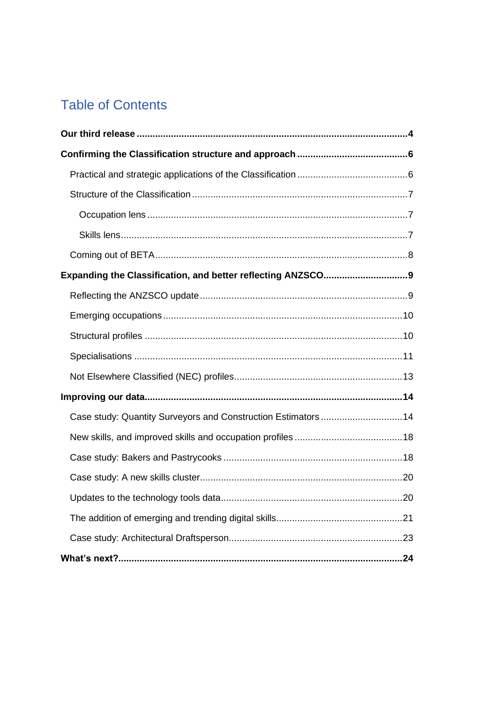# **Table of Contents**

| Case study: Quantity Surveyors and Construction Estimators  14 |  |
|----------------------------------------------------------------|--|
|                                                                |  |
|                                                                |  |
|                                                                |  |
|                                                                |  |
|                                                                |  |
|                                                                |  |
|                                                                |  |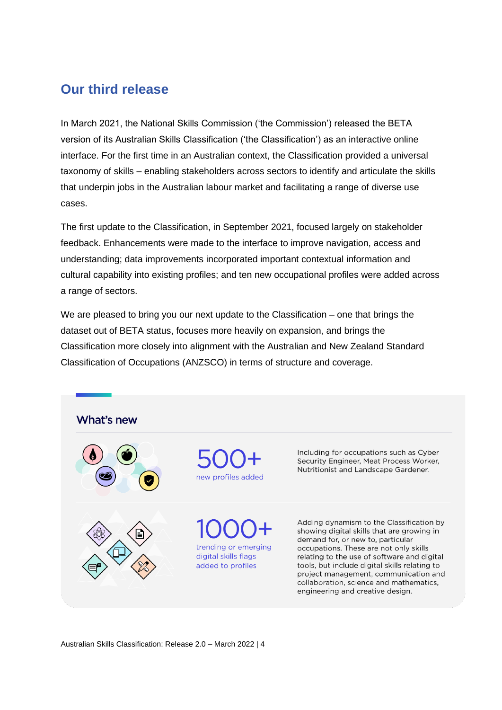## <span id="page-3-0"></span>**Our third release**

In March 2021, the National Skills Commission ('the Commission') released the BETA version of its Australian Skills Classification ('the Classification') as an interactive online interface. For the first time in an Australian context, the Classification provided a universal taxonomy of skills – enabling stakeholders across sectors to identify and articulate the skills that underpin jobs in the Australian labour market and facilitating a range of diverse use cases.

The first update to the Classification, in September 2021, focused largely on stakeholder feedback. Enhancements were made to the interface to improve navigation, access and understanding; data improvements incorporated important contextual information and cultural capability into existing profiles; and ten new occupational profiles were added across a range of sectors.

We are pleased to bring you our next update to the Classification – one that brings the dataset out of BETA status, focuses more heavily on expansion, and brings the Classification more closely into alignment with the Australian and New Zealand Standard Classification of Occupations (ANZSCO) in terms of structure and coverage.

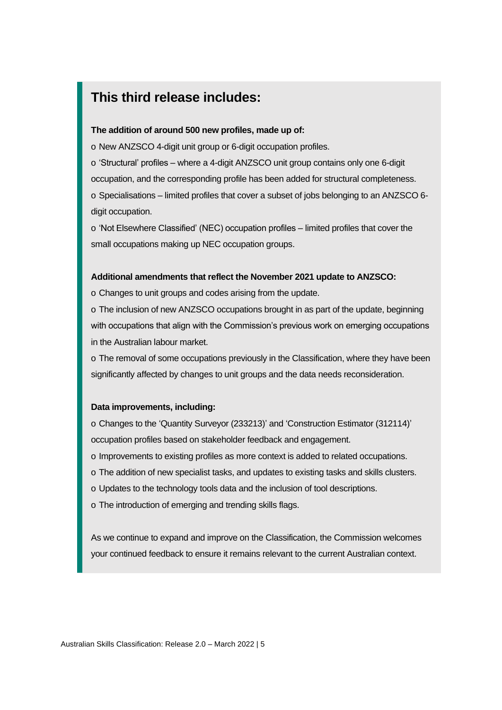## **This third release includes:**

#### **The addition of around 500 new profiles, made up of:**

o New ANZSCO 4-digit unit group or 6-digit occupation profiles.

o 'Structural' profiles – where a 4-digit ANZSCO unit group contains only one 6-digit occupation, and the corresponding profile has been added for structural completeness. o Specialisations – limited profiles that cover a subset of jobs belonging to an ANZSCO 6-

o 'Not Elsewhere Classified' (NEC) occupation profiles – limited profiles that cover the small occupations making up NEC occupation groups.

#### **Additional amendments that reflect the November 2021 update to ANZSCO:**

o Changes to unit groups and codes arising from the update.

o The inclusion of new ANZSCO occupations brought in as part of the update, beginning with occupations that align with the Commission's previous work on emerging occupations in the Australian labour market.

o The removal of some occupations previously in the Classification, where they have been significantly affected by changes to unit groups and the data needs reconsideration.

#### **Data improvements, including:**

digit occupation.

o Changes to the 'Quantity Surveyor (233213)' and 'Construction Estimator (312114)' occupation profiles based on stakeholder feedback and engagement.

- o Improvements to existing profiles as more context is added to related occupations.
- o The addition of new specialist tasks, and updates to existing tasks and skills clusters.
- o Updates to the technology tools data and the inclusion of tool descriptions.
- o The introduction of emerging and trending skills flags.

As we continue to expand and improve on the Classification, the Commission welcomes your continued feedback to ensure it remains relevant to the current Australian context.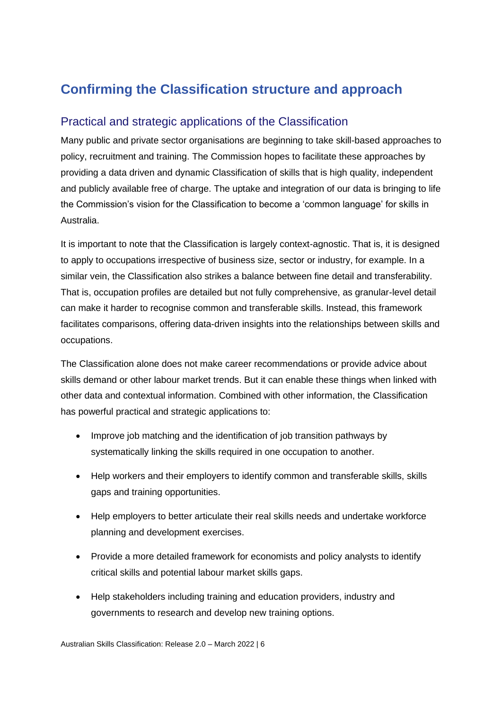# <span id="page-5-0"></span>**Confirming the Classification structure and approach**

#### <span id="page-5-1"></span>Practical and strategic applications of the Classification

Many public and private sector organisations are beginning to take skill-based approaches to policy, recruitment and training. The Commission hopes to facilitate these approaches by providing a data driven and dynamic Classification of skills that is high quality, independent and publicly available free of charge. The uptake and integration of our data is bringing to life the Commission's vision for the Classification to become a 'common language' for skills in Australia.

It is important to note that the Classification is largely context-agnostic. That is, it is designed to apply to occupations irrespective of business size, sector or industry, for example. In a similar vein, the Classification also strikes a balance between fine detail and transferability. That is, occupation profiles are detailed but not fully comprehensive, as granular-level detail can make it harder to recognise common and transferable skills. Instead, this framework facilitates comparisons, offering data-driven insights into the relationships between skills and occupations.

The Classification alone does not make career recommendations or provide advice about skills demand or other labour market trends. But it can enable these things when linked with other data and contextual information. Combined with other information, the Classification has powerful practical and strategic applications to:

- Improve job matching and the identification of job transition pathways by systematically linking the skills required in one occupation to another.
- Help workers and their employers to identify common and transferable skills, skills gaps and training opportunities.
- Help employers to better articulate their real skills needs and undertake workforce planning and development exercises.
- Provide a more detailed framework for economists and policy analysts to identify critical skills and potential labour market skills gaps.
- Help stakeholders including training and education providers, industry and governments to research and develop new training options.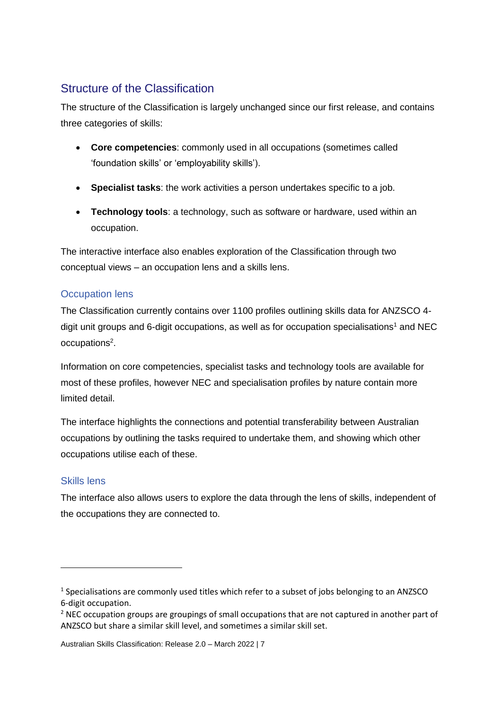## <span id="page-6-0"></span>Structure of the Classification

The structure of the Classification is largely unchanged since our first release, and contains three categories of skills:

- **Core competencies**: commonly used in all occupations (sometimes called 'foundation skills' or 'employability skills').
- **Specialist tasks**: the work activities a person undertakes specific to a job.
- **Technology tools**: a technology, such as software or hardware, used within an occupation.

The interactive interface also enables exploration of the Classification through two conceptual views – an occupation lens and a skills lens.

#### <span id="page-6-1"></span>Occupation lens

The Classification currently contains over 1100 profiles outlining skills data for ANZSCO 4 digit unit groups and 6-digit occupations, as well as for occupation specialisations<sup>1</sup> and NEC occupations<sup>2</sup>.

Information on core competencies, specialist tasks and technology tools are available for most of these profiles, however NEC and specialisation profiles by nature contain more limited detail.

The interface highlights the connections and potential transferability between Australian occupations by outlining the tasks required to undertake them, and showing which other occupations utilise each of these.

#### <span id="page-6-2"></span>Skills lens

The interface also allows users to explore the data through the lens of skills, independent of the occupations they are connected to.

Australian Skills Classification: Release 2.0 – March 2022 | 7

<sup>&</sup>lt;sup>1</sup> Specialisations are commonly used titles which refer to a subset of jobs belonging to an ANZSCO 6-digit occupation.

 $<sup>2</sup>$  NEC occupation groups are groupings of small occupations that are not captured in another part of</sup> ANZSCO but share a similar skill level, and sometimes a similar skill set.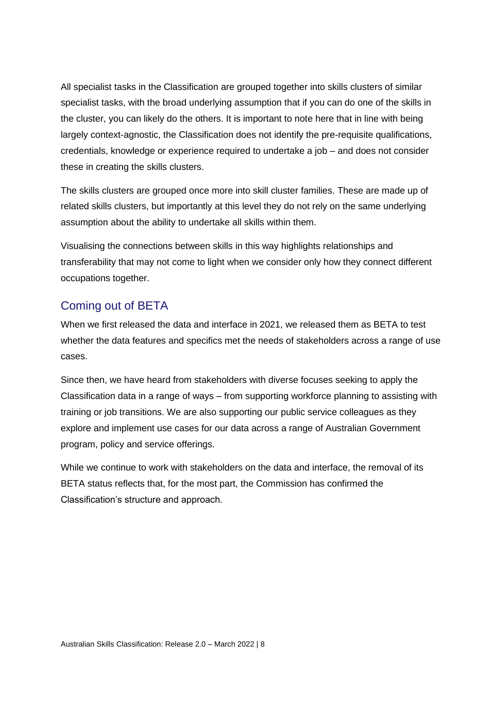All specialist tasks in the Classification are grouped together into skills clusters of similar specialist tasks, with the broad underlying assumption that if you can do one of the skills in the cluster, you can likely do the others. It is important to note here that in line with being largely context-agnostic, the Classification does not identify the pre-requisite qualifications, credentials, knowledge or experience required to undertake a job – and does not consider these in creating the skills clusters.

The skills clusters are grouped once more into skill cluster families. These are made up of related skills clusters, but importantly at this level they do not rely on the same underlying assumption about the ability to undertake all skills within them.

Visualising the connections between skills in this way highlights relationships and transferability that may not come to light when we consider only how they connect different occupations together.

#### <span id="page-7-0"></span>Coming out of BETA

When we first released the data and interface in 2021, we released them as BETA to test whether the data features and specifics met the needs of stakeholders across a range of use cases.

Since then, we have heard from stakeholders with diverse focuses seeking to apply the Classification data in a range of ways – from supporting workforce planning to assisting with training or job transitions. We are also supporting our public service colleagues as they explore and implement use cases for our data across a range of Australian Government program, policy and service offerings.

While we continue to work with stakeholders on the data and interface, the removal of its BETA status reflects that, for the most part, the Commission has confirmed the Classification's structure and approach.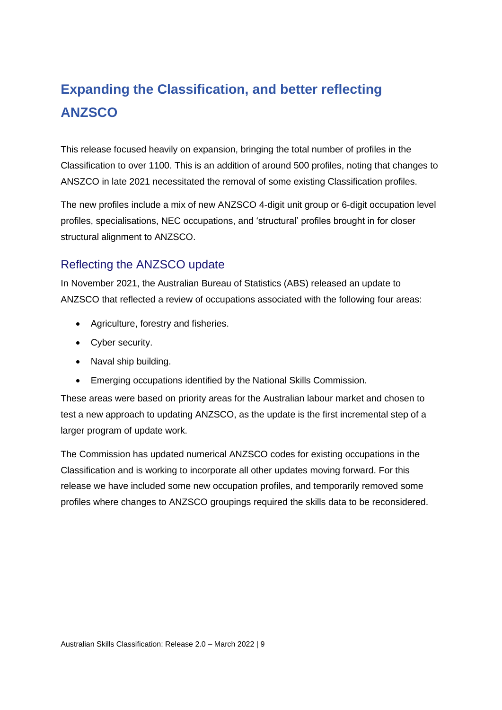# <span id="page-8-0"></span>**Expanding the Classification, and better reflecting ANZSCO**

This release focused heavily on expansion, bringing the total number of profiles in the Classification to over 1100. This is an addition of around 500 profiles, noting that changes to ANSZCO in late 2021 necessitated the removal of some existing Classification profiles.

The new profiles include a mix of new ANZSCO 4-digit unit group or 6-digit occupation level profiles, specialisations, NEC occupations, and 'structural' profiles brought in for closer structural alignment to ANZSCO.

#### <span id="page-8-1"></span>Reflecting the ANZSCO update

In November 2021, the Australian Bureau of Statistics (ABS) released an update to ANZSCO that reflected a review of occupations associated with the following four areas:

- Agriculture, forestry and fisheries.
- Cyber security.
- Naval ship building.
- Emerging occupations identified by the National Skills Commission.

These areas were based on priority areas for the Australian labour market and chosen to test a new approach to updating ANZSCO, as the update is the first incremental step of a larger program of update work.

The Commission has updated numerical ANZSCO codes for existing occupations in the Classification and is working to incorporate all other updates moving forward. For this release we have included some new occupation profiles, and temporarily removed some profiles where changes to ANZSCO groupings required the skills data to be reconsidered.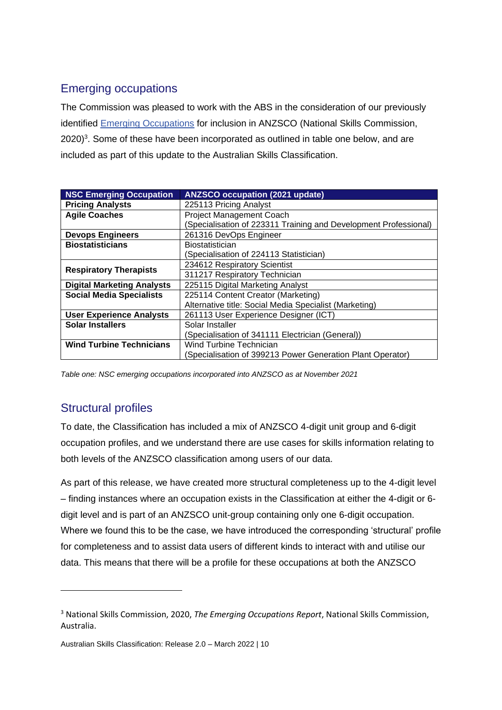## <span id="page-9-0"></span>Emerging occupations

The Commission was pleased to work with the ABS in the consideration of our previously identified [Emerging Occupations](https://www.nationalskillscommission.gov.au/emerging-occupations) for inclusion in ANZSCO (National Skills Commission, 2020)<sup>3</sup>. Some of these have been incorporated as outlined in table one below, and are included as part of this update to the Australian Skills Classification.

| <b>NSC Emerging Occupation</b>    | <b>ANZSCO occupation (2021 update)</b>                           |
|-----------------------------------|------------------------------------------------------------------|
| <b>Pricing Analysts</b>           | 225113 Pricing Analyst                                           |
| <b>Agile Coaches</b>              | <b>Project Management Coach</b>                                  |
|                                   | (Specialisation of 223311 Training and Development Professional) |
| <b>Devops Engineers</b>           | 261316 DevOps Engineer                                           |
| <b>Biostatisticians</b>           | <b>Biostatistician</b>                                           |
|                                   | (Specialisation of 224113 Statistician)                          |
| 234612 Respiratory Scientist      |                                                                  |
| <b>Respiratory Therapists</b>     | 311217 Respiratory Technician                                    |
| <b>Digital Marketing Analysts</b> | 225115 Digital Marketing Analyst                                 |
| <b>Social Media Specialists</b>   | 225114 Content Creator (Marketing)                               |
|                                   | Alternative title: Social Media Specialist (Marketing)           |
| <b>User Experience Analysts</b>   | 261113 User Experience Designer (ICT)                            |
| <b>Solar Installers</b>           | Solar Installer                                                  |
|                                   | (Specialisation of 341111 Electrician (General))                 |
| <b>Wind Turbine Technicians</b>   | Wind Turbine Technician                                          |
|                                   | (Specialisation of 399213 Power Generation Plant Operator)       |

*Table one: NSC emerging occupations incorporated into ANZSCO as at November 2021*

#### <span id="page-9-1"></span>Structural profiles

To date, the Classification has included a mix of ANZSCO 4-digit unit group and 6-digit occupation profiles, and we understand there are use cases for skills information relating to both levels of the ANZSCO classification among users of our data.

As part of this release, we have created more structural completeness up to the 4-digit level – finding instances where an occupation exists in the Classification at either the 4-digit or 6 digit level and is part of an ANZSCO unit-group containing only one 6-digit occupation. Where we found this to be the case, we have introduced the corresponding 'structural' profile for completeness and to assist data users of different kinds to interact with and utilise our data. This means that there will be a profile for these occupations at both the ANZSCO

<sup>3</sup> National Skills Commission, 2020, *The Emerging Occupations Report*, National Skills Commission, Australia.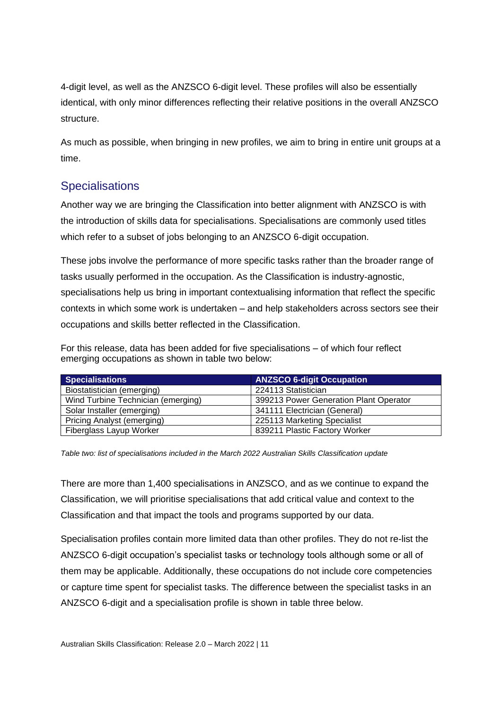4-digit level, as well as the ANZSCO 6-digit level. These profiles will also be essentially identical, with only minor differences reflecting their relative positions in the overall ANZSCO structure.

As much as possible, when bringing in new profiles, we aim to bring in entire unit groups at a time.

#### <span id="page-10-0"></span>**Specialisations**

Another way we are bringing the Classification into better alignment with ANZSCO is with the introduction of skills data for specialisations. Specialisations are commonly used titles which refer to a subset of jobs belonging to an ANZSCO 6-digit occupation.

These jobs involve the performance of more specific tasks rather than the broader range of tasks usually performed in the occupation. As the Classification is industry-agnostic, specialisations help us bring in important contextualising information that reflect the specific contexts in which some work is undertaken – and help stakeholders across sectors see their occupations and skills better reflected in the Classification.

For this release, data has been added for five specialisations – of which four reflect emerging occupations as shown in table two below:

| <b>Specialisations</b>             | <b>ANZSCO 6-digit Occupation</b>       |
|------------------------------------|----------------------------------------|
| Biostatistician (emerging)         | 224113 Statistician                    |
| Wind Turbine Technician (emerging) | 399213 Power Generation Plant Operator |
| Solar Installer (emerging)         | 341111 Electrician (General)           |
| <b>Pricing Analyst (emerging)</b>  | 225113 Marketing Specialist            |
| Fiberglass Layup Worker            | 839211 Plastic Factory Worker          |

*Table two: list of specialisations included in the March 2022 Australian Skills Classification update*

There are more than 1,400 specialisations in ANZSCO, and as we continue to expand the Classification, we will prioritise specialisations that add critical value and context to the Classification and that impact the tools and programs supported by our data.

Specialisation profiles contain more limited data than other profiles. They do not re-list the ANZSCO 6-digit occupation's specialist tasks or technology tools although some or all of them may be applicable. Additionally, these occupations do not include core competencies or capture time spent for specialist tasks. The difference between the specialist tasks in an ANZSCO 6-digit and a specialisation profile is shown in table three below.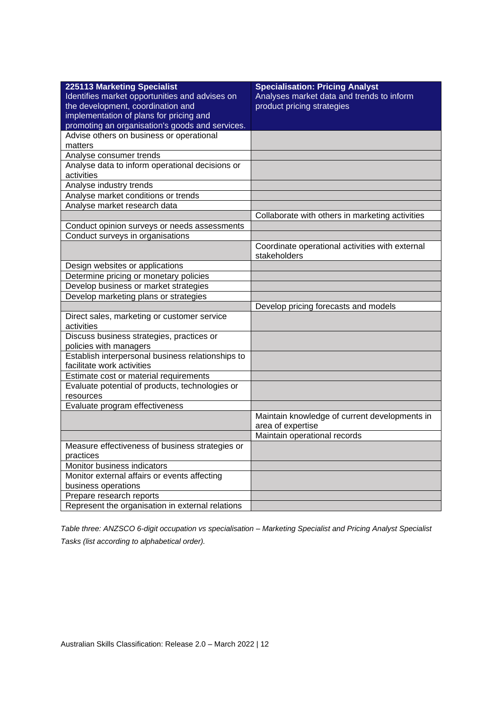| 225113 Marketing Specialist                       | <b>Specialisation: Pricing Analyst</b>                          |
|---------------------------------------------------|-----------------------------------------------------------------|
| Identifies market opportunities and advises on    | Analyses market data and trends to inform                       |
| the development, coordination and                 | product pricing strategies                                      |
| implementation of plans for pricing and           |                                                                 |
| promoting an organisation's goods and services.   |                                                                 |
| Advise others on business or operational          |                                                                 |
| matters                                           |                                                                 |
| Analyse consumer trends                           |                                                                 |
| Analyse data to inform operational decisions or   |                                                                 |
| activities                                        |                                                                 |
| Analyse industry trends                           |                                                                 |
| Analyse market conditions or trends               |                                                                 |
| Analyse market research data                      |                                                                 |
|                                                   | Collaborate with others in marketing activities                 |
| Conduct opinion surveys or needs assessments      |                                                                 |
| Conduct surveys in organisations                  |                                                                 |
|                                                   | Coordinate operational activities with external<br>stakeholders |
| Design websites or applications                   |                                                                 |
| Determine pricing or monetary policies            |                                                                 |
| Develop business or market strategies             |                                                                 |
| Develop marketing plans or strategies             |                                                                 |
|                                                   | Develop pricing forecasts and models                            |
| Direct sales, marketing or customer service       |                                                                 |
| activities                                        |                                                                 |
| Discuss business strategies, practices or         |                                                                 |
| policies with managers                            |                                                                 |
| Establish interpersonal business relationships to |                                                                 |
| facilitate work activities                        |                                                                 |
| Estimate cost or material requirements            |                                                                 |
| Evaluate potential of products, technologies or   |                                                                 |
| resources                                         |                                                                 |
| Evaluate program effectiveness                    |                                                                 |
|                                                   | Maintain knowledge of current developments in                   |
|                                                   | area of expertise                                               |
|                                                   | Maintain operational records                                    |
| Measure effectiveness of business strategies or   |                                                                 |
| practices                                         |                                                                 |
| Monitor business indicators                       |                                                                 |
| Monitor external affairs or events affecting      |                                                                 |
| business operations                               |                                                                 |
| Prepare research reports                          |                                                                 |
| Represent the organisation in external relations  |                                                                 |

*Table three: ANZSCO 6-digit occupation vs specialisation – Marketing Specialist and Pricing Analyst Specialist Tasks (list according to alphabetical order).*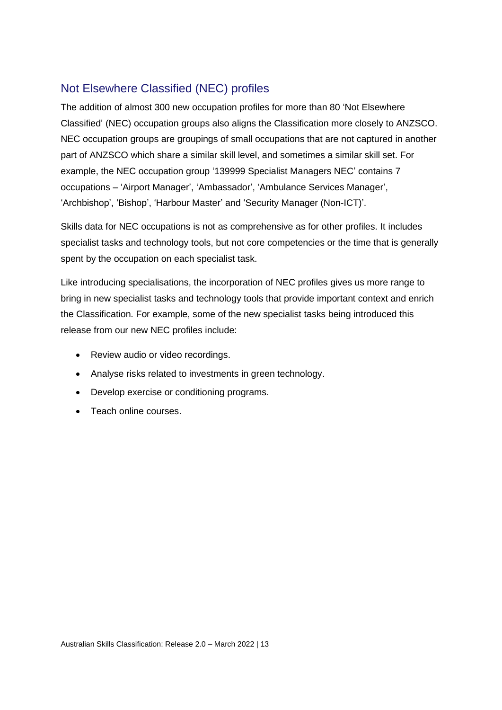#### <span id="page-12-0"></span>Not Elsewhere Classified (NEC) profiles

The addition of almost 300 new occupation profiles for more than 80 'Not Elsewhere Classified' (NEC) occupation groups also aligns the Classification more closely to ANZSCO. NEC occupation groups are groupings of small occupations that are not captured in another part of ANZSCO which share a similar skill level, and sometimes a similar skill set. For example, the NEC occupation group '139999 Specialist Managers NEC' contains 7 occupations – 'Airport Manager', 'Ambassador', 'Ambulance Services Manager', 'Archbishop', 'Bishop', 'Harbour Master' and 'Security Manager (Non-ICT)'.

Skills data for NEC occupations is not as comprehensive as for other profiles. It includes specialist tasks and technology tools, but not core competencies or the time that is generally spent by the occupation on each specialist task.

Like introducing specialisations, the incorporation of NEC profiles gives us more range to bring in new specialist tasks and technology tools that provide important context and enrich the Classification. For example, some of the new specialist tasks being introduced this release from our new NEC profiles include:

- Review audio or video recordings.
- Analyse risks related to investments in green technology.
- Develop exercise or conditioning programs.
- Teach online courses.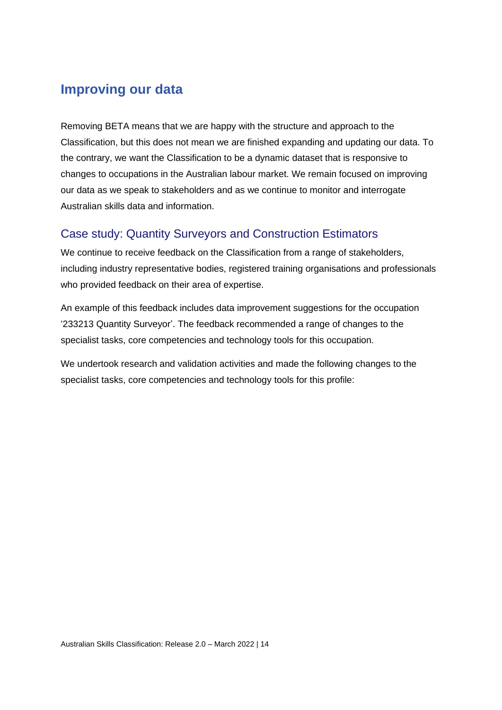## <span id="page-13-0"></span>**Improving our data**

Removing BETA means that we are happy with the structure and approach to the Classification, but this does not mean we are finished expanding and updating our data. To the contrary, we want the Classification to be a dynamic dataset that is responsive to changes to occupations in the Australian labour market. We remain focused on improving our data as we speak to stakeholders and as we continue to monitor and interrogate Australian skills data and information.

#### <span id="page-13-1"></span>Case study: Quantity Surveyors and Construction Estimators

We continue to receive feedback on the Classification from a range of stakeholders, including industry representative bodies, registered training organisations and professionals who provided feedback on their area of expertise.

An example of this feedback includes data improvement suggestions for the occupation '233213 Quantity Surveyor'. The feedback recommended a range of changes to the specialist tasks, core competencies and technology tools for this occupation.

We undertook research and validation activities and made the following changes to the specialist tasks, core competencies and technology tools for this profile: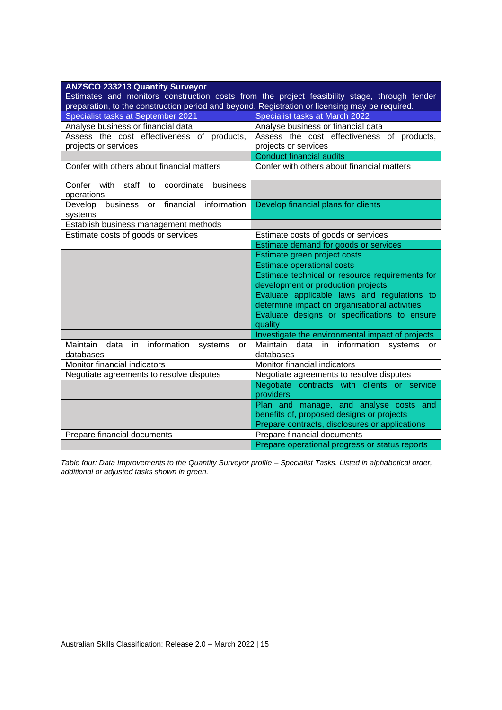| <b>ANZSCO 233213 Quantity Surveyor</b>                                                         |                                                                                              |  |
|------------------------------------------------------------------------------------------------|----------------------------------------------------------------------------------------------|--|
|                                                                                                | Estimates and monitors construction costs from the project feasibility stage, through tender |  |
| preparation, to the construction period and beyond. Registration or licensing may be required. |                                                                                              |  |
| Specialist tasks at September 2021                                                             | Specialist tasks at March 2022                                                               |  |
| Analyse business or financial data                                                             | Analyse business or financial data                                                           |  |
| Assess the cost effectiveness of products,                                                     | Assess the cost effectiveness of products,                                                   |  |
| projects or services                                                                           | projects or services                                                                         |  |
|                                                                                                | <b>Conduct financial audits</b>                                                              |  |
| Confer with others about financial matters                                                     | Confer with others about financial matters                                                   |  |
| staff to<br>Confer with<br>coordinate<br>business<br>operations                                |                                                                                              |  |
| business or financial information<br>Develop<br>systems                                        | Develop financial plans for clients                                                          |  |
| Establish business management methods                                                          |                                                                                              |  |
| Estimate costs of goods or services                                                            | Estimate costs of goods or services                                                          |  |
|                                                                                                | Estimate demand for goods or services                                                        |  |
|                                                                                                | Estimate green project costs                                                                 |  |
|                                                                                                | <b>Estimate operational costs</b>                                                            |  |
|                                                                                                | Estimate technical or resource requirements for                                              |  |
|                                                                                                | development or production projects                                                           |  |
| Evaluate applicable laws and regulations to<br>determine impact on organisational activities   |                                                                                              |  |
|                                                                                                | Evaluate designs or specifications to ensure<br>quality                                      |  |
|                                                                                                | Investigate the environmental impact of projects                                             |  |
| Maintain<br>information<br>data<br>in<br>systems<br>or<br>databases                            | Maintain<br>data in information<br>systems<br>or.<br>databases                               |  |
| Monitor financial indicators                                                                   | Monitor financial indicators                                                                 |  |
| Negotiate agreements to resolve disputes                                                       | Negotiate agreements to resolve disputes                                                     |  |
|                                                                                                | Negotiate contracts with clients or service                                                  |  |
|                                                                                                | providers                                                                                    |  |
|                                                                                                | Plan and manage, and analyse costs and                                                       |  |
|                                                                                                | benefits of, proposed designs or projects                                                    |  |
|                                                                                                | Prepare contracts, disclosures or applications                                               |  |
| Prepare financial documents<br>Prepare financial documents                                     |                                                                                              |  |
|                                                                                                | Prepare operational progress or status reports                                               |  |

*Table four: Data Improvements to the Quantity Surveyor profile – Specialist Tasks. Listed in alphabetical order, additional or adjusted tasks shown in green.*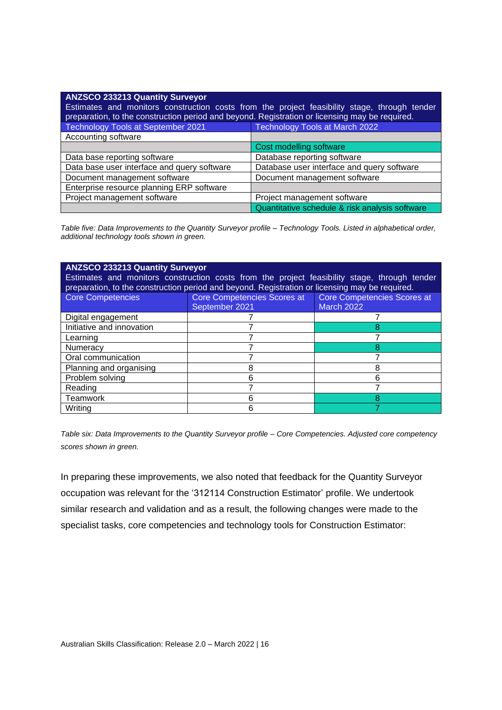| <b>ANZSCO 233213 Quantity Surveyor</b><br>Estimates and monitors construction costs from the project feasibility stage, through tender<br>preparation, to the construction period and beyond. Registration or licensing may be required. |                                                |  |  |
|------------------------------------------------------------------------------------------------------------------------------------------------------------------------------------------------------------------------------------------|------------------------------------------------|--|--|
| <b>Technology Tools at September 2021</b>                                                                                                                                                                                                | Technology Tools at March 2022                 |  |  |
| Accounting software                                                                                                                                                                                                                      |                                                |  |  |
|                                                                                                                                                                                                                                          | Cost modelling software                        |  |  |
| Data base reporting software                                                                                                                                                                                                             | Database reporting software                    |  |  |
| Data base user interface and query software                                                                                                                                                                                              | Database user interface and query software     |  |  |
| Document management software                                                                                                                                                                                                             | Document management software                   |  |  |
| Enterprise resource planning ERP software                                                                                                                                                                                                |                                                |  |  |
| Project management software                                                                                                                                                                                                              | Project management software                    |  |  |
|                                                                                                                                                                                                                                          | Quantitative schedule & risk analysis software |  |  |

*Table five: Data Improvements to the Quantity Surveyor profile – Technology Tools. Listed in alphabetical order, additional technology tools shown in green.*

| <b>ANZSCO 233213 Quantity Surveyor</b><br>Estimates and monitors construction costs from the project feasibility stage, through tender<br>preparation, to the construction period and beyond. Registration or licensing may be required. |                             |                             |  |
|------------------------------------------------------------------------------------------------------------------------------------------------------------------------------------------------------------------------------------------|-----------------------------|-----------------------------|--|
| Core Competencies                                                                                                                                                                                                                        | Core Competencies Scores at | Core Competencies Scores at |  |
|                                                                                                                                                                                                                                          | September 2021              | <b>March 2022</b>           |  |
| Digital engagement                                                                                                                                                                                                                       |                             |                             |  |
| Initiative and innovation                                                                                                                                                                                                                |                             |                             |  |
| Learning                                                                                                                                                                                                                                 |                             |                             |  |
| Numeracy                                                                                                                                                                                                                                 |                             |                             |  |
| Oral communication                                                                                                                                                                                                                       |                             |                             |  |
| Planning and organising                                                                                                                                                                                                                  |                             |                             |  |
| Problem solving                                                                                                                                                                                                                          |                             | հ                           |  |
| Reading                                                                                                                                                                                                                                  |                             |                             |  |
| Teamwork                                                                                                                                                                                                                                 |                             |                             |  |
| Writina                                                                                                                                                                                                                                  |                             |                             |  |

*Table six: Data Improvements to the Quantity Surveyor profile – Core Competencies. Adjusted core competency scores shown in green.*

In preparing these improvements, we also noted that feedback for the Quantity Surveyor occupation was relevant for the '312114 Construction Estimator' profile. We undertook similar research and validation and as a result, the following changes were made to the specialist tasks, core competencies and technology tools for Construction Estimator: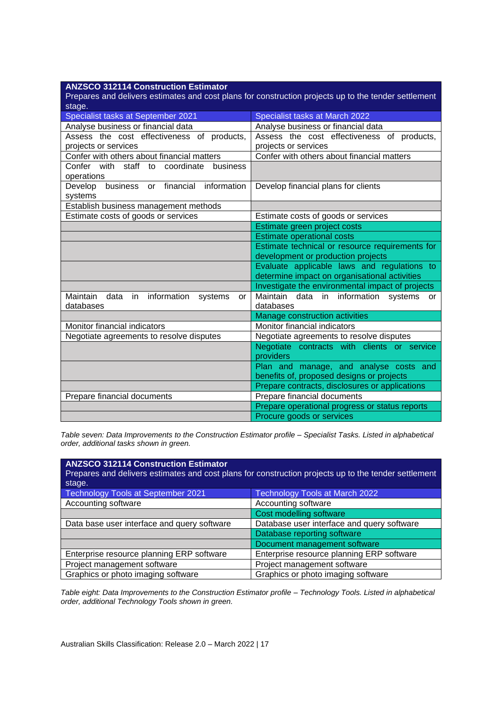| <b>ANZSCO 312114 Construction Estimator</b>                                                          |                                                         |  |  |
|------------------------------------------------------------------------------------------------------|---------------------------------------------------------|--|--|
| Prepares and delivers estimates and cost plans for construction projects up to the tender settlement |                                                         |  |  |
| stage.                                                                                               |                                                         |  |  |
| Specialist tasks at September 2021                                                                   | Specialist tasks at March 2022                          |  |  |
| Analyse business or financial data                                                                   | Analyse business or financial data                      |  |  |
| Assess the cost effectiveness of products,                                                           | Assess the cost effectiveness of products,              |  |  |
| projects or services                                                                                 | projects or services                                    |  |  |
| Confer with others about financial matters                                                           | Confer with others about financial matters              |  |  |
| Confer with staff to coordinate<br>business<br>operations                                            |                                                         |  |  |
| business or financial<br>information<br>Develop<br>systems                                           | Develop financial plans for clients                     |  |  |
| Establish business management methods                                                                |                                                         |  |  |
| Estimate costs of goods or services                                                                  | Estimate costs of goods or services                     |  |  |
|                                                                                                      | Estimate green project costs                            |  |  |
|                                                                                                      | <b>Estimate operational costs</b>                       |  |  |
|                                                                                                      | Estimate technical or resource requirements for         |  |  |
|                                                                                                      | development or production projects                      |  |  |
|                                                                                                      | Evaluate applicable laws and regulations to             |  |  |
|                                                                                                      | determine impact on organisational activities           |  |  |
|                                                                                                      | Investigate the environmental impact of projects        |  |  |
| information<br>Maintain<br>data<br>in<br>systems<br>or<br>databases                                  | Maintain data in information systems<br>or<br>databases |  |  |
|                                                                                                      | Manage construction activities                          |  |  |
| Monitor financial indicators                                                                         | Monitor financial indicators                            |  |  |
| Negotiate agreements to resolve disputes                                                             | Negotiate agreements to resolve disputes                |  |  |
|                                                                                                      | Negotiate contracts with clients or service             |  |  |
|                                                                                                      | providers                                               |  |  |
|                                                                                                      | Plan and manage, and analyse costs and                  |  |  |
|                                                                                                      | benefits of, proposed designs or projects               |  |  |
|                                                                                                      | Prepare contracts, disclosures or applications          |  |  |
| Prepare financial documents                                                                          | Prepare financial documents                             |  |  |
|                                                                                                      | Prepare operational progress or status reports          |  |  |
|                                                                                                      | Procure goods or services                               |  |  |

*Table seven: Data Improvements to the Construction Estimator profile – Specialist Tasks. Listed in alphabetical order, additional tasks shown in green.*

| <b>ANZSCO 312114 Construction Estimator</b><br>stage. | Prepares and delivers estimates and cost plans for construction projects up to the tender settlement |
|-------------------------------------------------------|------------------------------------------------------------------------------------------------------|
| <b>Technology Tools at September 2021</b>             | Technology Tools at March 2022                                                                       |
| Accounting software                                   | Accounting software                                                                                  |
|                                                       | Cost modelling software                                                                              |
| Data base user interface and query software           | Database user interface and query software                                                           |
|                                                       | Database reporting software                                                                          |
|                                                       | Document management software                                                                         |
| Enterprise resource planning ERP software             | Enterprise resource planning ERP software                                                            |
| Project management software                           | Project management software                                                                          |
| Graphics or photo imaging software                    | Graphics or photo imaging software                                                                   |

*Table eight: Data Improvements to the Construction Estimator profile – Technology Tools. Listed in alphabetical order, additional Technology Tools shown in green.*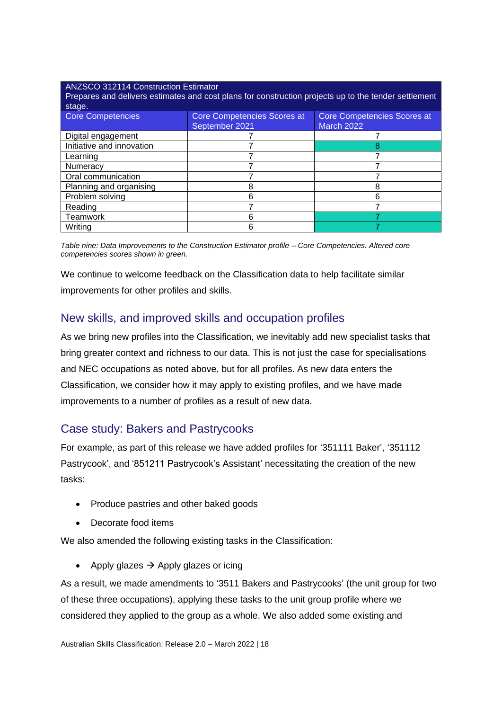#### ANZSCO 312114 Construction Estimator

Prepares and delivers estimates and cost plans for construction projects up to the tender settlement stage

| Core Competencies         | Core Competencies Scores at<br>September 2021 | Core Competencies Scores at<br><b>March 2022</b> |
|---------------------------|-----------------------------------------------|--------------------------------------------------|
| Digital engagement        |                                               |                                                  |
| Initiative and innovation |                                               |                                                  |
| Learning                  |                                               |                                                  |
| Numeracy                  |                                               |                                                  |
| Oral communication        |                                               |                                                  |
| Planning and organising   |                                               |                                                  |
| Problem solving           |                                               |                                                  |
| Reading                   |                                               |                                                  |
| <b>Teamwork</b>           |                                               |                                                  |
| Writing                   |                                               |                                                  |

*Table nine: Data Improvements to the Construction Estimator profile – Core Competencies. Altered core competencies scores shown in green.*

We continue to welcome feedback on the Classification data to help facilitate similar improvements for other profiles and skills.

#### <span id="page-17-0"></span>New skills, and improved skills and occupation profiles

As we bring new profiles into the Classification, we inevitably add new specialist tasks that bring greater context and richness to our data. This is not just the case for specialisations and NEC occupations as noted above, but for all profiles. As new data enters the Classification, we consider how it may apply to existing profiles, and we have made improvements to a number of profiles as a result of new data.

#### <span id="page-17-1"></span>Case study: Bakers and Pastrycooks

For example, as part of this release we have added profiles for '351111 Baker', '351112 Pastrycook', and '851211 Pastrycook's Assistant' necessitating the creation of the new tasks:

- Produce pastries and other baked goods
- Decorate food items

We also amended the following existing tasks in the Classification:

• Apply glazes  $\rightarrow$  Apply glazes or icing

As a result, we made amendments to '3511 Bakers and Pastrycooks' (the unit group for two of these three occupations), applying these tasks to the unit group profile where we considered they applied to the group as a whole. We also added some existing and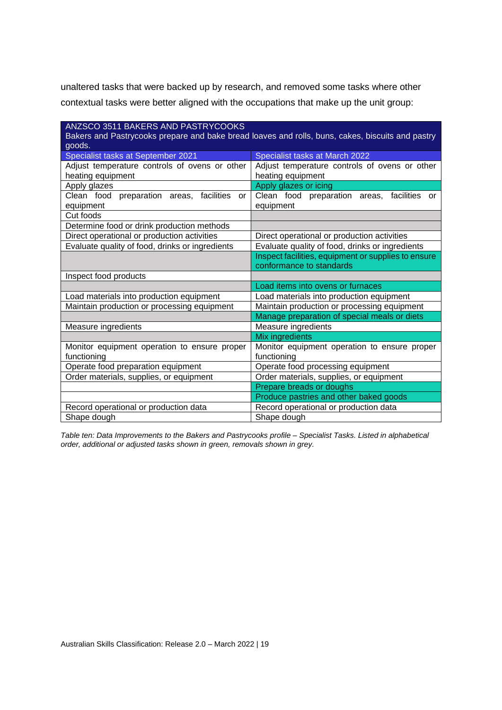unaltered tasks that were backed up by research, and removed some tasks where other contextual tasks were better aligned with the occupations that make up the unit group:

| ANZSCO 3511 BAKERS AND PASTRYCOOKS                                             |                                                                                                  |  |  |
|--------------------------------------------------------------------------------|--------------------------------------------------------------------------------------------------|--|--|
|                                                                                | Bakers and Pastrycooks prepare and bake bread loaves and rolls, buns, cakes, biscuits and pastry |  |  |
| goods.                                                                         |                                                                                                  |  |  |
| Specialist tasks at September 2021                                             | Specialist tasks at March 2022                                                                   |  |  |
| Adjust temperature controls of ovens or other                                  | Adjust temperature controls of ovens or other                                                    |  |  |
| heating equipment                                                              | heating equipment                                                                                |  |  |
| Apply glazes                                                                   | Apply glazes or icing                                                                            |  |  |
| Clean food preparation areas,<br>facilities<br>or                              | Clean food preparation areas,<br>facilities<br>or                                                |  |  |
| equipment                                                                      | equipment                                                                                        |  |  |
| Cut foods                                                                      |                                                                                                  |  |  |
| Determine food or drink production methods                                     |                                                                                                  |  |  |
| Direct operational or production activities                                    | Direct operational or production activities                                                      |  |  |
| Evaluate quality of food, drinks or ingredients                                | Evaluate quality of food, drinks or ingredients                                                  |  |  |
|                                                                                | Inspect facilities, equipment or supplies to ensure                                              |  |  |
|                                                                                | conformance to standards                                                                         |  |  |
| Inspect food products                                                          |                                                                                                  |  |  |
|                                                                                | Load items into ovens or furnaces                                                                |  |  |
| Load materials into production equipment                                       | Load materials into production equipment                                                         |  |  |
| Maintain production or processing equipment                                    | Maintain production or processing equipment                                                      |  |  |
|                                                                                | Manage preparation of special meals or diets                                                     |  |  |
| Measure ingredients                                                            | Measure ingredients                                                                              |  |  |
|                                                                                | Mix ingredients                                                                                  |  |  |
| Monitor equipment operation to ensure proper                                   | Monitor equipment operation to ensure proper                                                     |  |  |
| functioning                                                                    | functioning                                                                                      |  |  |
| Operate food preparation equipment                                             | Operate food processing equipment                                                                |  |  |
| Order materials, supplies, or equipment                                        | Order materials, supplies, or equipment                                                          |  |  |
|                                                                                | Prepare breads or doughs                                                                         |  |  |
|                                                                                | Produce pastries and other baked goods                                                           |  |  |
| Record operational or production data<br>Record operational or production data |                                                                                                  |  |  |
| Shape dough                                                                    | Shape dough                                                                                      |  |  |

*Table ten: Data Improvements to the Bakers and Pastrycooks profile – Specialist Tasks. Listed in alphabetical order, additional or adjusted tasks shown in green, removals shown in grey.*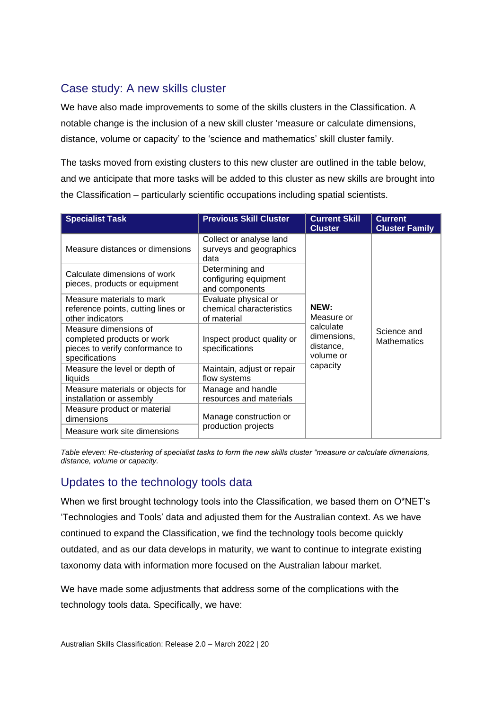#### <span id="page-19-0"></span>Case study: A new skills cluster

We have also made improvements to some of the skills clusters in the Classification. A notable change is the inclusion of a new skill cluster 'measure or calculate dimensions, distance, volume or capacity' to the 'science and mathematics' skill cluster family.

The tasks moved from existing clusters to this new cluster are outlined in the table below, and we anticipate that more tasks will be added to this cluster as new skills are brought into the Classification – particularly scientific occupations including spatial scientists.

| <b>Specialist Task</b>                                                                                   | <b>Previous Skill Cluster</b>                                   | <b>Current Skill</b><br><b>Cluster</b>             | <b>Current</b><br><b>Cluster Family</b> |
|----------------------------------------------------------------------------------------------------------|-----------------------------------------------------------------|----------------------------------------------------|-----------------------------------------|
| Measure distances or dimensions                                                                          | Collect or analyse land<br>surveys and geographics<br>data      |                                                    |                                         |
| Calculate dimensions of work<br>pieces, products or equipment                                            | Determining and<br>configuring equipment<br>and components      |                                                    |                                         |
| Measure materials to mark<br>reference points, cutting lines or<br>other indicators                      | Evaluate physical or<br>chemical characteristics<br>of material | NEW:<br>Measure or                                 |                                         |
| Measure dimensions of<br>completed products or work<br>pieces to verify conformance to<br>specifications | Inspect product quality or<br>specifications                    | calculate<br>dimensions,<br>distance,<br>volume or | Science and<br><b>Mathematics</b>       |
| Measure the level or depth of<br>liquids                                                                 | Maintain, adjust or repair<br>flow systems                      | capacity                                           |                                         |
| Measure materials or objects for<br>installation or assembly                                             | Manage and handle<br>resources and materials                    |                                                    |                                         |
| Measure product or material<br>dimensions                                                                | Manage construction or                                          |                                                    |                                         |
| Measure work site dimensions                                                                             | production projects                                             |                                                    |                                         |

*Table eleven: Re-clustering of specialist tasks to form the new skills cluster "measure or calculate dimensions, distance, volume or capacity.*

#### <span id="page-19-1"></span>Updates to the technology tools data

When we first brought technology tools into the Classification, we based them on O\*NET's 'Technologies and Tools' data and adjusted them for the Australian context. As we have continued to expand the Classification, we find the technology tools become quickly outdated, and as our data develops in maturity, we want to continue to integrate existing taxonomy data with information more focused on the Australian labour market.

We have made some adjustments that address some of the complications with the technology tools data. Specifically, we have: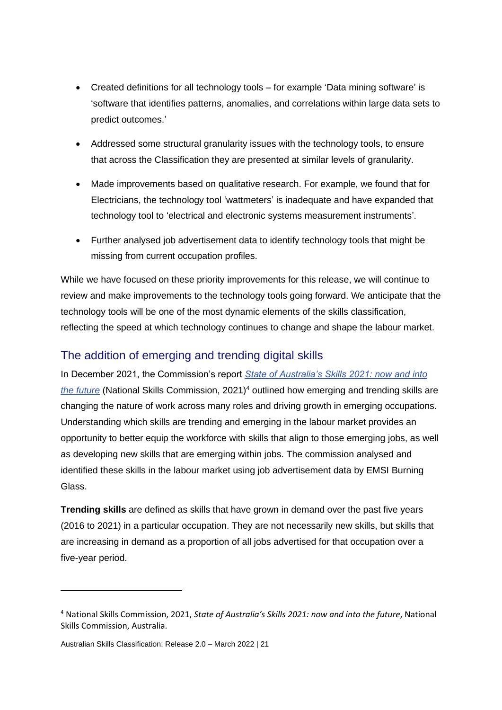- Created definitions for all technology tools for example 'Data mining software' is 'software that identifies patterns, anomalies, and correlations within large data sets to predict outcomes.'
- Addressed some structural granularity issues with the technology tools, to ensure that across the Classification they are presented at similar levels of granularity.
- Made improvements based on qualitative research. For example, we found that for Electricians, the technology tool 'wattmeters' is inadequate and have expanded that technology tool to 'electrical and electronic systems measurement instruments'.
- Further analysed job advertisement data to identify technology tools that might be missing from current occupation profiles.

While we have focused on these priority improvements for this release, we will continue to review and make improvements to the technology tools going forward. We anticipate that the technology tools will be one of the most dynamic elements of the skills classification, reflecting the speed at which technology continues to change and shape the labour market.

#### <span id="page-20-0"></span>The addition of emerging and trending digital skills

In December 2021, the Commission's report *[State of Australia's Skills 2021: now and into](https://www.nationalskillscommission.gov.au/state-australias-skills-2021-now-and-future)  [the future](https://www.nationalskillscommission.gov.au/state-australias-skills-2021-now-and-future)* (National Skills Commission, 2021)<sup>4</sup> outlined how emerging and trending skills are changing the nature of work across many roles and driving growth in emerging occupations. Understanding which skills are trending and emerging in the labour market provides an opportunity to better equip the workforce with skills that align to those emerging jobs, as well as developing new skills that are emerging within jobs. The commission analysed and identified these skills in the labour market using job advertisement data by EMSI Burning Glass.

**Trending skills** are defined as skills that have grown in demand over the past five years (2016 to 2021) in a particular occupation. They are not necessarily new skills, but skills that are increasing in demand as a proportion of all jobs advertised for that occupation over a five-year period.

<sup>4</sup> National Skills Commission, 2021, *State of Australia's Skills 2021: now and into the future*, National Skills Commission, Australia.

Australian Skills Classification: Release 2.0 – March 2022 | 21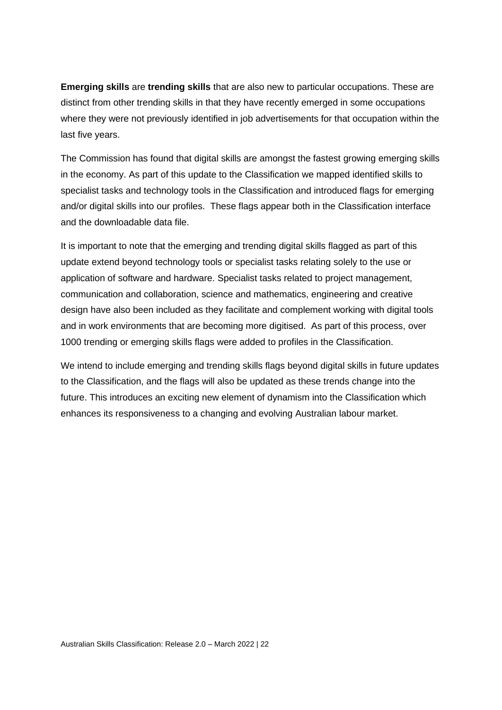**Emerging skills** are **trending skills** that are also new to particular occupations. These are distinct from other trending skills in that they have recently emerged in some occupations where they were not previously identified in job advertisements for that occupation within the last five years.

The Commission has found that digital skills are amongst the fastest growing emerging skills in the economy. As part of this update to the Classification we mapped identified skills to specialist tasks and technology tools in the Classification and introduced flags for emerging and/or digital skills into our profiles. These flags appear both in the Classification interface and the downloadable data file.

It is important to note that the emerging and trending digital skills flagged as part of this update extend beyond technology tools or specialist tasks relating solely to the use or application of software and hardware. Specialist tasks related to project management, communication and collaboration, science and mathematics, engineering and creative design have also been included as they facilitate and complement working with digital tools and in work environments that are becoming more digitised. As part of this process, over 1000 trending or emerging skills flags were added to profiles in the Classification.

We intend to include emerging and trending skills flags beyond digital skills in future updates to the Classification, and the flags will also be updated as these trends change into the future. This introduces an exciting new element of dynamism into the Classification which enhances its responsiveness to a changing and evolving Australian labour market.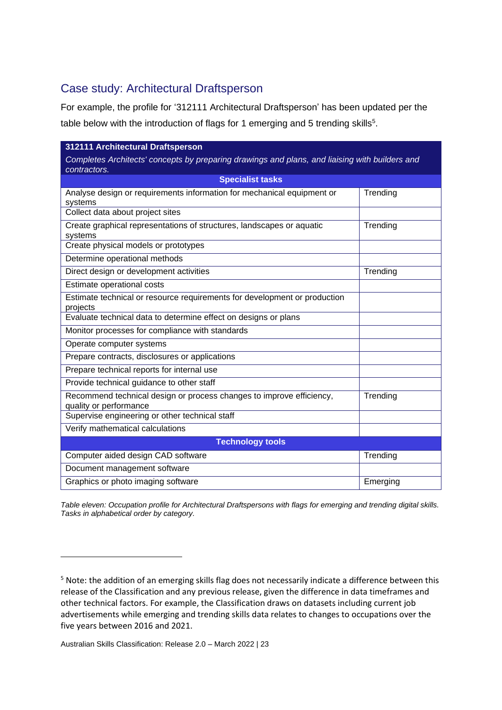#### <span id="page-22-0"></span>Case study: Architectural Draftsperson

For example, the profile for '312111 Architectural Draftsperson' has been updated per the table below with the introduction of flags for 1 emerging and 5 trending skills<sup>5</sup>.

| 312111 Architectural Draftsperson                                                              |          |
|------------------------------------------------------------------------------------------------|----------|
| Completes Architects' concepts by preparing drawings and plans, and liaising with builders and |          |
| contractors.                                                                                   |          |
| <b>Specialist tasks</b>                                                                        |          |
| Analyse design or requirements information for mechanical equipment or<br>systems              | Trending |
| Collect data about project sites                                                               |          |
| Create graphical representations of structures, landscapes or aquatic<br>systems               | Trending |
| Create physical models or prototypes                                                           |          |
| Determine operational methods                                                                  |          |
| Direct design or development activities                                                        | Trending |
| Estimate operational costs                                                                     |          |
| Estimate technical or resource requirements for development or production<br>projects          |          |
| Evaluate technical data to determine effect on designs or plans                                |          |
| Monitor processes for compliance with standards                                                |          |
| Operate computer systems                                                                       |          |
| Prepare contracts, disclosures or applications                                                 |          |
| Prepare technical reports for internal use                                                     |          |
| Provide technical guidance to other staff                                                      |          |
| Recommend technical design or process changes to improve efficiency,<br>quality or performance | Trending |
| Supervise engineering or other technical staff                                                 |          |
| Verify mathematical calculations                                                               |          |
| <b>Technology tools</b>                                                                        |          |
| Computer aided design CAD software                                                             | Trending |
| Document management software                                                                   |          |
| Graphics or photo imaging software                                                             | Emerging |

*Table eleven: Occupation profile for Architectural Draftspersons with flags for emerging and trending digital skills. Tasks in alphabetical order by category.*

<sup>5</sup> Note: the addition of an emerging skills flag does not necessarily indicate a difference between this release of the Classification and any previous release, given the difference in data timeframes and other technical factors. For example, the Classification draws on datasets including current job advertisements while emerging and trending skills data relates to changes to occupations over the five years between 2016 and 2021.